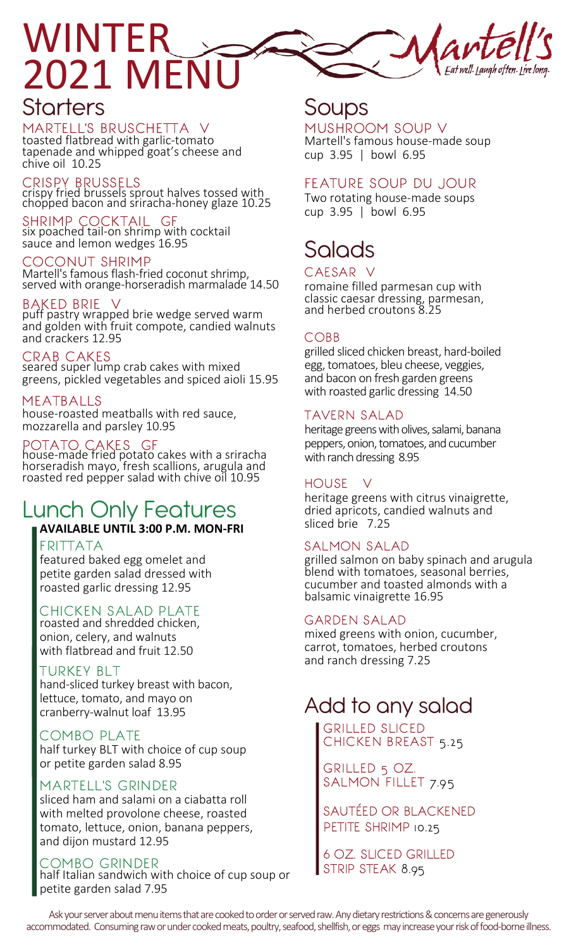

## **Starters**

MARTELL'S BRUSCHETTA V toasted flatbread with garlic-tomato tapenade and whipped goat's cheese and chive oil 10.25

crispy fried brussels sprout halves tossed with chopped bacon and sriracha-honey glaze 10.25 CRISPY BRUSSELS

six poached tail-on shrimp with cocktail sauce and lemon wedges 16.95 SHRIMP COCKTAIL GF

COCONUT SHRIMP Martell's famous flash-fried coconut shrimp, served with orange-horseradish marmalade 14.50

#### **BAKED BRIE**

puff pastry wrapped brie wedge served warm and golden with fruit compote, candied walnuts and crackers 12.95

CRAB CAKES

seared super lump crab cakes with mixed greens, pickled vegetables and spiced aioli 15.95

#### MEATBALLS

house-roasted meatballs with red sauce, mozzarella and parsley 10.95

#### POTATO CAKES GF

house-made fried potato cakes with a sriracha horseradish mayo, fresh scallions, arugula and roasted red pepper salad with chive oil 10.95

# Lunch Only Features

## **AVAILABLE UNTIL 3:00 P.M. MON-FRI**

featured baked egg omelet and petite garden salad dressed with roasted garlic dressing 12.95

#### CHICKEN SALAD PLATE

roasted and shredded chicken, onion, celery, and walnuts with flatbread and fruit 12.50

#### TURKEY BLT

hand-sliced turkey breast with bacon, lettuce, tomato, and mayo on cranberry-walnut loaf 13.95

#### COMBO PLATE

half turkey BLT with choice of cup soup or petite garden salad 8.95

#### MARTELL'S GRINDER

sliced ham and salami on a ciabatta roll with melted provolone cheese, roasted tomato, lettuce, onion, banana peppers, and dijon mustard 12.95

COMBO GRINDER half Italian sandwich with choice of cup soup or petite garden salad 7.95

## Soups

cup 3.95 | bowl 6.95 Martell's famous house-made soup MUSHROOM SOUP V

#### FEATURE SOUP DU JOUR

cup 3.95 | bowl 6.95 Two rotating house-made soups

# Salads

romaine filled parmesan cup with classic caesar dressing, parmesan, and herbed croutons 8.25 CAESAR V

#### COBB

grilled sliced chicken breast, hard-boiled egg, tomatoes, bleu cheese, veggies, and bacon on fresh garden greens with roasted garlic dressing 14.50

#### TAVERN SALAD

heritage greens with olives, salami, banana peppers, onion, tomatoes, and cucumber with ranch dressing 8.95

#### HOUSE V

heritage greens with citrus vinaigrette, dried apricots, candied walnuts and sliced brie 7.25

#### FRITTATA SALMON SALAD

grilled salmon on baby spinach and arugula blend with tomatoes, seasonal berries, cucumber and toasted almonds with a balsamic vinaigrette 16.95

#### GARDEN SALAD

mixed greens with onion, cucumber, carrot, tomatoes, herbed croutons and ranch dressing 7.25

## Add to any salad

GRILLED SLICED CHICKEN BREAST 5.25

GRILLED 5 OZ. SALMON FILLET 7.95

SAUTÉED OR BLACKENED PETITE SHRIMP 10.25

6 OZ. SLICED GRILLED STRIP STEAK 8.95

Ask your server about menu items that are cooked to order or served raw. Any dietary restrictions & concerns are generously accommodated. Consuming raw or under cooked meats, poultry, seafood, shellfish, or eggs may increase your risk of food-borne illness.